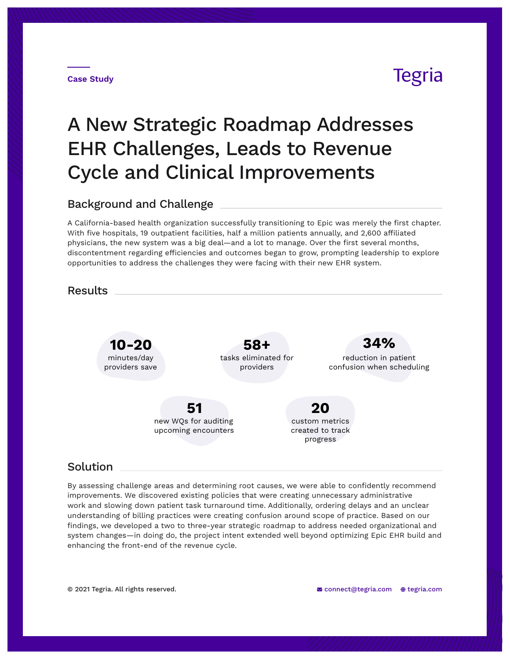



# A New Strategic Roadmap Addresses EHR Challenges, Leads to Revenue Cycle and Clinical Improvements

## Background and Challenge

A California-based health organization successfully transitioning to Epic was merely the first chapter. With five hospitals, 19 outpatient facilities, half a million patients annually, and 2,600 affiliated physicians, the new system was a big deal—and a lot to manage. Over the first several months, discontentment regarding efficiencies and outcomes began to grow, prompting leadership to explore opportunities to address the challenges they were facing with their new EHR system.

**Results** 



## Solution

By assessing challenge areas and determining root causes, we were able to confidently recommend improvements. We discovered existing policies that were creating unnecessary administrative work and slowing down patient task turnaround time. Additionally, ordering delays and an unclear understanding of billing practices were creating confusion around scope of practice. Based on our findings, we developed a two to three-year strategic roadmap to address needed organizational and system changes—in doing do, the project intent extended well beyond optimizing Epic EHR build and enhancing the front-end of the revenue cycle.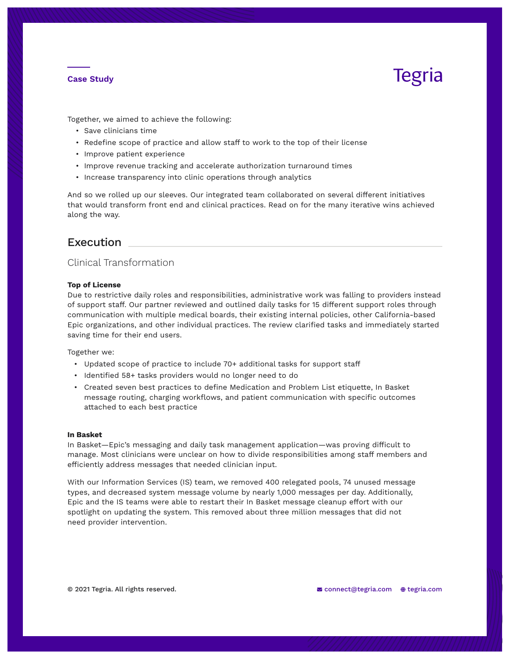### **Case Study**

# Tegria

Together, we aimed to achieve the following:

- Save clinicians time
- Redefine scope of practice and allow staff to work to the top of their license
- Improve patient experience
- Improve revenue tracking and accelerate authorization turnaround times
- Increase transparency into clinic operations through analytics

And so we rolled up our sleeves. Our integrated team collaborated on several different initiatives that would transform front end and clinical practices. Read on for the many iterative wins achieved along the way.

## Execution

### Clinical Transformation

#### **Top of License**

Due to restrictive daily roles and responsibilities, administrative work was falling to providers instead of support staff. Our partner reviewed and outlined daily tasks for 15 different support roles through communication with multiple medical boards, their existing internal policies, other California-based Epic organizations, and other individual practices. The review clarified tasks and immediately started saving time for their end users.

Together we:

- Updated scope of practice to include 70+ additional tasks for support staff
- Identified 58+ tasks providers would no longer need to do
- Created seven best practices to define Medication and Problem List etiquette, In Basket message routing, charging workflows, and patient communication with specific outcomes attached to each best practice

#### **In Basket**

In Basket—Epic's messaging and daily task management application—was proving difficult to manage. Most clinicians were unclear on how to divide responsibilities among staff members and efficiently address messages that needed clinician input.

With our Information Services (IS) team, we removed 400 relegated pools, 74 unused message types, and decreased system message volume by nearly 1,000 messages per day. Additionally, Epic and the IS teams were able to restart their In Basket message cleanup effort with our spotlight on updating the system. This removed about three million messages that did not need provider intervention.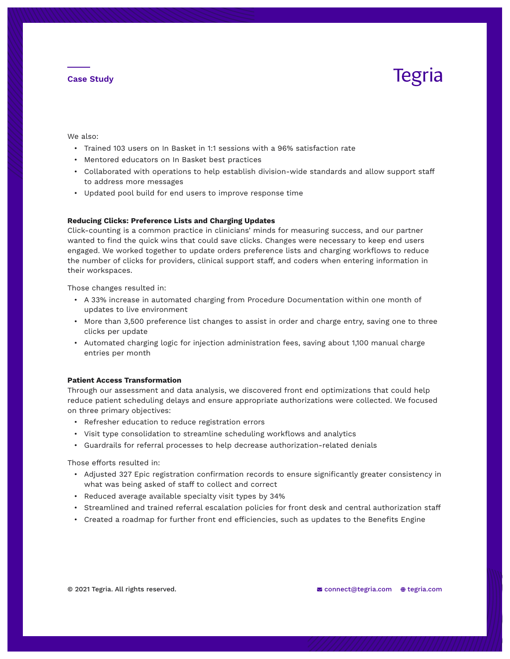### **Case Study**

# Tegria

We also:

- Trained 103 users on In Basket in 1:1 sessions with a 96% satisfaction rate
- Mentored educators on In Basket best practices
- Collaborated with operations to help establish division-wide standards and allow support staff to address more messages
- Updated pool build for end users to improve response time

#### **Reducing Clicks: Preference Lists and Charging Updates**

Click-counting is a common practice in clinicians' minds for measuring success, and our partner wanted to find the quick wins that could save clicks. Changes were necessary to keep end users engaged. We worked together to update orders preference lists and charging workflows to reduce the number of clicks for providers, clinical support staff, and coders when entering information in their workspaces.

Those changes resulted in:

- A 33% increase in automated charging from Procedure Documentation within one month of updates to live environment
- More than 3,500 preference list changes to assist in order and charge entry, saving one to three clicks per update
- Automated charging logic for injection administration fees, saving about 1,100 manual charge entries per month

#### **Patient Access Transformation**

Through our assessment and data analysis, we discovered front end optimizations that could help reduce patient scheduling delays and ensure appropriate authorizations were collected. We focused on three primary objectives:

- Refresher education to reduce registration errors
- Visit type consolidation to streamline scheduling workflows and analytics
- Guardrails for referral processes to help decrease authorization-related denials

Those efforts resulted in:

- Adjusted 327 Epic registration confirmation records to ensure significantly greater consistency in what was being asked of staff to collect and correct
- Reduced average available specialty visit types by 34%
- Streamlined and trained referral escalation policies for front desk and central authorization staff
- Created a roadmap for further front end efficiencies, such as updates to the Benefits Engine